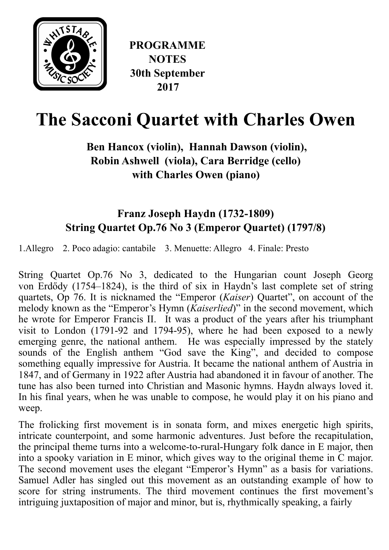

# **The Sacconi Quartet with Charles Owen**

# **Ben Hancox (violin), Hannah Dawson (violin), Robin Ashwell (viola), Cara Berridge (cello) with Charles Owen (piano)**

# **Franz Joseph Haydn (1732-1809) String Quartet Op.76 No 3 (Emperor Quartet) (1797/8)**

1.Allegro 2. Poco adagio: cantabile 3. Menuette: Allegro 4. Finale: Presto

String Quartet Op.76 No 3, dedicated to the Hungarian [count](https://en.wikipedia.org/wiki/Count) Joseph Georg von [Erd](https://en.wikipedia.org/wiki/Erd%25C5%2591dy)ődy (1754–1824), is the third of six in Haydn's last complete set of string quartets, Op 76. It is nicknamed the "Emperor (*Kaiser*) Quartet", on account of the melody known as the "Emperor's Hymn (*Kaiserlied*)" in the second movement, which he wrote for Emperor [Francis II](https://en.wikipedia.org/wiki/Francis_II,_Holy_Roman_Emperor). It was a product of the years after his triumphant visit to London (1791-92 and 1794-95), where he had been exposed to a newly emerging genre, the national anthem. He was especially impressed by the stately sounds of the English anthem "God save the King", and decided to compose something equally impressive for Austria. It became the [national anthem](https://www.britannica.com/topic/national-anthem) of [Austria](https://www.britannica.com/place/Austria) in 1847, and of [Germany](https://www.britannica.com/place/Germany) in 1922 after Austria had abandoned it in favour of another. The tune has also been turned into Christian and Masonic hymns. Haydn always loved it. In his final years, when he was unable to compose, he would play it on his piano and weep.

The frolicking first movement is in [sonata form,](https://www.britannica.com/art/sonata-form) and mixes energetic high spirits, intricate counterpoint, and some harmonic adventures. Just before the recapitulation, the principal theme turns into a welcome-to-rural-Hungary folk dance in E major, then into a spooky variation in E minor, which gives way to the original theme in C major. The second movement uses the elegant "Emperor's Hymn" as a basis for variations. [Samuel Adler](https://en.wikipedia.org/wiki/Samuel_Adler_(composer)) has singled out this movement as an outstanding example of how to score for string instruments. The third movement continues the first movement's intriguing juxtaposition of major and minor, but is, rhythmically speaking, a fairly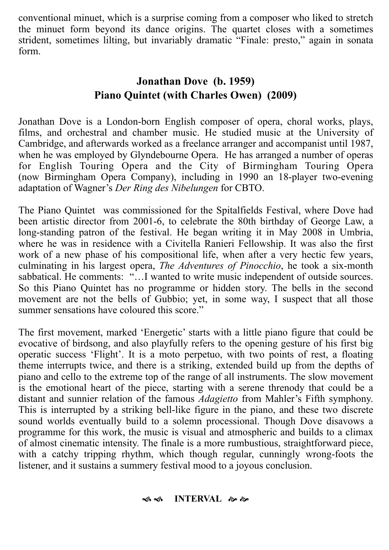conventional minuet, which is a surprise coming from a composer who liked to stretch the minuet form beyond its dance origins. The quartet closes with a sometimes strident, sometimes lilting, but invariably dramatic "Finale: presto," again in sonata form.

## **Jonathan Dove (b. 1959) Piano Quintet (with Charles Owen) (2009)**

Jonathan Dove is a London-born English [composer](https://en.wikipedia.org/wiki/Composer) of [opera](https://en.wikipedia.org/wiki/Opera), choral works, plays, films, and orchestral and chamber music. He studied music at the [University of](https://en.wikipedia.org/wiki/University_of_Cambridge) [Cambridge,](https://en.wikipedia.org/wiki/University_of_Cambridge) and afterwards worked as a freelance arranger and accompanist until 1987, when he was employed by [Glyndebourne Opera](https://en.wikipedia.org/wiki/Glyndebourne_Opera). He has arranged a number of operas for [English Touring Opera](https://en.wikipedia.org/wiki/English_Touring_Opera) and the City of Birmingham Touring Opera (now [Birmingham Opera Company](https://en.wikipedia.org/wiki/Birmingham_Opera_Company)), including in 1990 an 18-player two-evening adaptation of [Wagner's](https://en.wikipedia.org/wiki/Richard_Wagner) *[Der Ring des Nibelungen](https://en.wikipedia.org/wiki/Der_Ring_des_Nibelungen)* for CBTO.

The Piano Quintet was commissioned for the Spitalfields Festival, where Dove had been artistic director from 2001-6, to celebrate the 80th birthday of George Law, a long-standing patron of the festival. He began writing it in May 2008 in Umbria, where he was in residence with a Civitella Ranieri Fellowship. It was also the first work of a new phase of his compositional life, when after a very hectic few years, culminating in his largest opera, *The Adventures of Pinocchio*, he took a six-month sabbatical. He comments: "...I wanted to write music independent of outside sources. So this Piano Quintet has no programme or hidden story. The bells in the second movement are not the bells of Gubbio; yet, in some way, I suspect that all those summer sensations have coloured this score."

The first movement, marked 'Energetic' starts with a little piano figure that could be evocative of birdsong, and also playfully refers to the opening gesture of his first big operatic success 'Flight'. It is a moto perpetuo, with two points of rest, a floating theme interrupts twice, and there is a striking, extended build up from the depths of piano and cello to the extreme top of the range of all instruments. The slow movement is the emotional heart of the piece, starting with a serene threnody that could be a distant and sunnier relation of the famous *Adagietto* from Mahler's Fifth symphony. This is interrupted by a striking bell-like figure in the piano, and these two discrete sound worlds eventually build to a solemn processional. Though Dove disavows a programme for this work, the music is visual and atmospheric and builds to a climax of almost cinematic intensity. The finale is a more rumbustious, straightforward piece, with a catchy tripping rhythm, which though regular, cunningly wrong-foots the listener, and it sustains a summery festival mood to a joyous conclusion.

#### ை **INTERVAL** & &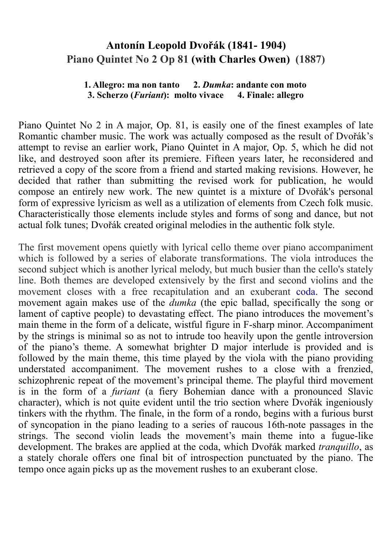## **Antonín Leopold Dvořák (1841- 1904) Piano Quintet No 2 Op 81 (with Charles Owen) (1887)**

#### **1. Allegro: ma non tanto 2.** *Dumka***: andante con moto 3. Scherzo (***Furiant***): molto vivace 4. Finale: allegro**

Piano Quintet No 2 in A major, Op. 81, is easily one of the finest examples of late Romantic chamber music. The work was actually composed as the result of Dvořák's attempt to revise an earlier work, [Piano Quintet in A major, Op. 5,](https://en.wikipedia.org/w/index.php?title=Piano_Quintet_No._1_(Dvo%25C5%2599%25C3%25A1k)&action=edit&redlink=1) which he did not like, and destroyed soon after its premiere. Fifteen years later, he reconsidered and retrieved a copy of the score from a friend and started making revisions. However, he decided that rather than submitting the revised work for publication, he would compose an entirely new work. The new quintet is a mixture of Dvořák's personal form of expressive lyricism as well as a utilization of elements from Czech folk music. Characteristically those elements include styles and forms of song and dance, but not actual folk tunes; Dvořák created original melodies in the authentic folk style.

The first movement opens quietly with lyrical cello theme over piano accompaniment which is followed by a series of elaborate transformations. The viola introduces the second subject which is another lyrical melody, but much busier than the cello's stately line. Both themes are developed extensively by the first and second violins and the movement closes with a free recapitulation and an exuberant [coda](https://en.wikipedia.org/wiki/Coda_(music)). The second movement again makes use of the *dumka* (the epic ballad, specifically the song or lament of captive people) to devastating effect. The piano introduces the movement's main theme in the form of a delicate, wistful figure in F-sharp minor. Accompaniment by the strings is minimal so as not to intrude too heavily upon the gentle introversion of the piano's theme. A somewhat brighter D major interlude is provided and is followed by the main theme, this time played by the viola with the piano providing understated accompaniment. The movement rushes to a close with a frenzied, schizophrenic repeat of the movement's principal theme. The playful third movement is in the form of a *furiant* (a fiery Bohemian dance with a pronounced Slavic character), which is not quite evident until the trio section where Dvořák ingeniously tinkers with the rhythm. The finale, in the form of a rondo, begins with a furious burst of syncopation in the piano leading to a series of raucous 16th-note passages in the strings. The second violin leads the movement's main theme into a fugue-like development. The brakes are applied at the coda, which Dvořák marked *tranquillo*, as a stately chorale offers one final bit of introspection punctuated by the piano. The tempo once again picks up as the movement rushes to an exuberant close.